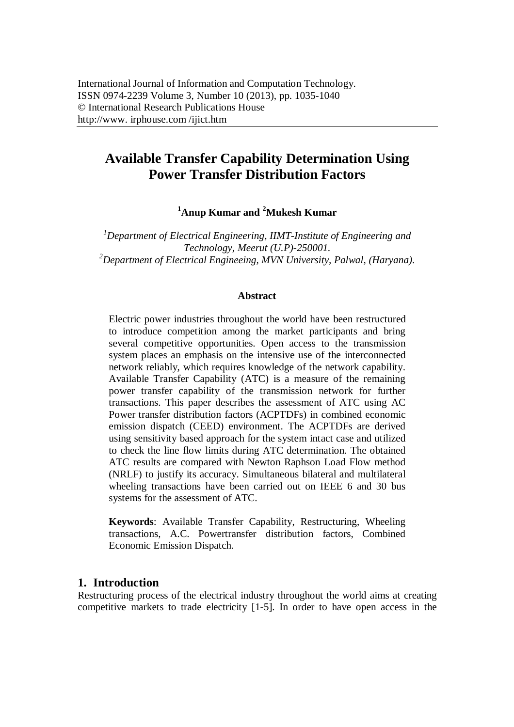# **Available Transfer Capability Determination Using Power Transfer Distribution Factors**

**<sup>1</sup>Anup Kumar and <sup>2</sup>Mukesh Kumar**

*<sup>1</sup>Department of Electrical Engineering, IIMT-Institute of Engineering and Technology, Meerut (U.P)-250001. <sup>2</sup>Department of Electrical Engineeing, MVN University, Palwal, (Haryana).*

#### **Abstract**

Electric power industries throughout the world have been restructured to introduce competition among the market participants and bring several competitive opportunities. Open access to the transmission system places an emphasis on the intensive use of the interconnected network reliably, which requires knowledge of the network capability. Available Transfer Capability (ATC) is a measure of the remaining power transfer capability of the transmission network for further transactions. This paper describes the assessment of ATC using AC Power transfer distribution factors (ACPTDFs) in combined economic emission dispatch (CEED) environment. The ACPTDFs are derived using sensitivity based approach for the system intact case and utilized to check the line flow limits during ATC determination. The obtained ATC results are compared with Newton Raphson Load Flow method (NRLF) to justify its accuracy. Simultaneous bilateral and multilateral wheeling transactions have been carried out on IEEE 6 and 30 bus systems for the assessment of ATC.

**Keywords**: Available Transfer Capability, Restructuring, Wheeling transactions, A.C. Powertransfer distribution factors, Combined Economic Emission Dispatch.

### **1. Introduction**

Restructuring process of the electrical industry throughout the world aims at creating competitive markets to trade electricity [1-5]. In order to have open access in the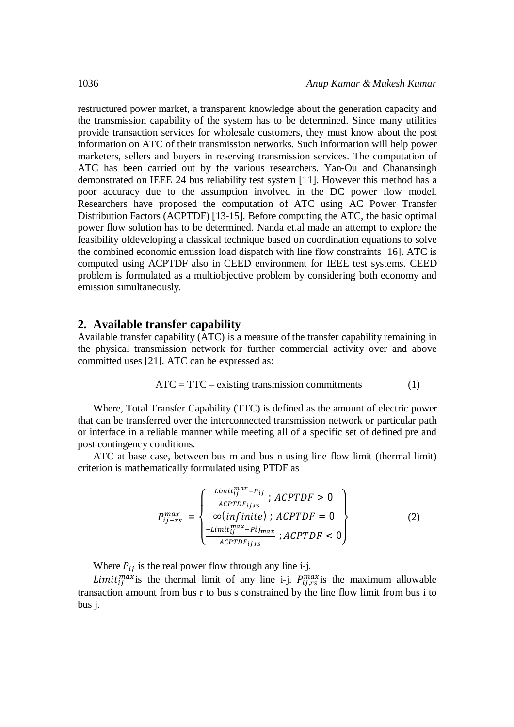restructured power market, a transparent knowledge about the generation capacity and the transmission capability of the system has to be determined. Since many utilities provide transaction services for wholesale customers, they must know about the post information on ATC of their transmission networks. Such information will help power marketers, sellers and buyers in reserving transmission services. The computation of ATC has been carried out by the various researchers. Yan-Ou and Chanansingh demonstrated on IEEE 24 bus reliability test system [11]. However this method has a poor accuracy due to the assumption involved in the DC power flow model. Researchers have proposed the computation of ATC using AC Power Transfer Distribution Factors (ACPTDF) [13-15]. Before computing the ATC, the basic optimal power flow solution has to be determined. Nanda et.al made an attempt to explore the feasibility ofdeveloping a classical technique based on coordination equations to solve the combined economic emission load dispatch with line flow constraints [16]. ATC is computed using ACPTDF also in CEED environment for IEEE test systems. CEED problem is formulated as a multiobjective problem by considering both economy and emission simultaneously.

#### **2. Available transfer capability**

Available transfer capability (ATC) is a measure of the transfer capability remaining in the physical transmission network for further commercial activity over and above committed uses [21]. ATC can be expressed as:

$$
ATC = TTC - existing transmission commitments \t(1)
$$

Where, Total Transfer Capability (TTC) is defined as the amount of electric power that can be transferred over the interconnected transmission network or particular path or interface in a reliable manner while meeting all of a specific set of defined pre and post contingency conditions.

ATC at base case, between bus m and bus n using line flow limit (thermal limit) criterion is mathematically formulated using PTDF as

$$
P_{ij-rs}^{max} = \begin{cases} \frac{\text{Limit}_{ij}^{max} - P_{ij}}{\text{ACPTDF}_{ij,rs}}; \text{ACPTDF} > 0\\ \infty (\text{infinite}); \text{ACPTDF} = 0\\ \frac{-\text{Limit}_{ij}^{max} - \text{Pij}_{max}}{\text{ACPTDF}_{ij,rs}}; \text{ACPTDF} < 0 \end{cases}
$$
(2)

Where  $P_{ij}$  is the real power flow through any line i-j.

*Limit*<sub>ij</sub><sup>max</sup> is the thermal limit of any line i-j.  $P_{ij,rs}^{max}$  is the maximum allowable transaction amount from bus r to bus s constrained by the line flow limit from bus i to bus j.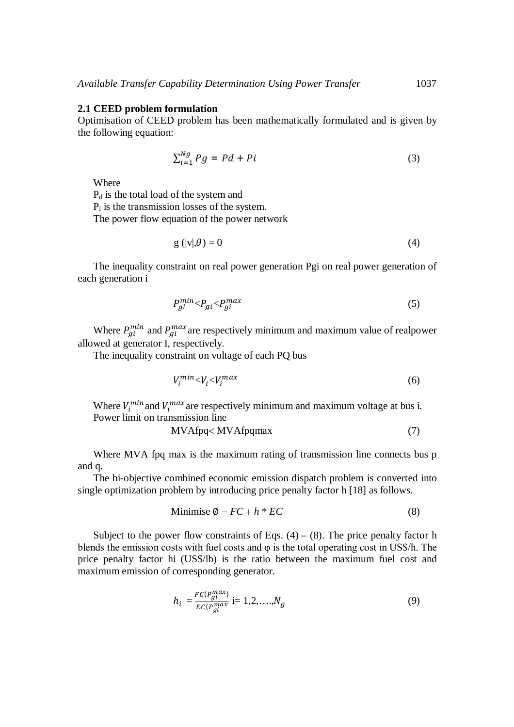#### **2.1 CEED problem formulation**

Optimisation of CEED problem has been mathematically formulated and is given by the following equation:

$$
\sum_{i=1}^{Ng} Pg = Pd + Pi \tag{3}
$$

Where

P<sup>d</sup> is the total load of the system and

 $P_i$  is the transmission losses of the system.

The power flow equation of the power network

$$
g\left(|v|,\theta\right)=0\tag{4}
$$

The inequality constraint on real power generation Pgi on real power generation of each generation i

$$
P_{gi}^{min} < P_{gi} < P_{gi}^{max} \tag{5}
$$

Where  $P_{gi}^{min}$  and  $P_{gi}^{max}$  are respectively minimum and maximum value of realpower allowed at generator I, respectively.

The inequality constraint on voltage of each PQ bus

$$
V_i^{min} < V_i < V_i^{max} \tag{6}
$$

Where  $V_i^{min}$  and  $V_i^{max}$  are respectively minimum and maximum voltage at bus i. Power limit on transmission line

$$
MVAfpq < MVAfpqmax \tag{7}
$$

Where MVA fpq max is the maximum rating of transmission line connects bus p and q.

The bi-objective combined economic emission dispatch problem is converted into single optimization problem by introducing price penalty factor h [18] as follows.

$$
Minimise \ \emptyset = FC + h * EC \tag{8}
$$

Subject to the power flow constraints of Eqs.  $(4) - (8)$ . The price penalty factor h blends the emission costs with fuel costs and φ is the total operating cost in US\$/h. The price penalty factor hi (US\$/lb) is the ratio between the maximum fuel cost and maximum emission of corresponding generator.

$$
h_i = \frac{FC(P_{gi}^{max})}{EC(P_{gi}^{max}} \text{ i}=1,2,\ldots,N_g \tag{9}
$$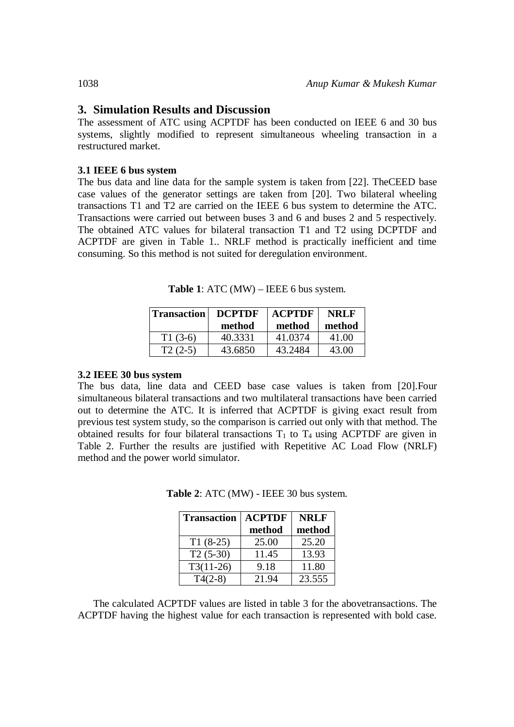## **3. Simulation Results and Discussion**

The assessment of ATC using ACPTDF has been conducted on IEEE 6 and 30 bus systems, slightly modified to represent simultaneous wheeling transaction in a restructured market.

#### **3.1 IEEE 6 bus system**

The bus data and line data for the sample system is taken from [22]. TheCEED base case values of the generator settings are taken from [20]. Two bilateral wheeling transactions T1 and T2 are carried on the IEEE 6 bus system to determine the ATC. Transactions were carried out between buses 3 and 6 and buses 2 and 5 respectively. The obtained ATC values for bilateral transaction T1 and T2 using DCPTDF and ACPTDF are given in Table 1.. NRLF method is practically inefficient and time consuming. So this method is not suited for deregulation environment.

**Table 1**: ATC (MW) – IEEE 6 bus system.

| <b>Transaction</b> | <b>DCPTDF</b> | <b>ACPTDF</b> | <b>NRLF</b> |
|--------------------|---------------|---------------|-------------|
|                    | method        | method        | method      |
| $T1(3-6)$          | 40.3331       | 41.0374       | 41.00       |
| $T2(2-5)$          | 43.6850       | 43.2484       | 43.00       |

#### **3.2 IEEE 30 bus system**

The bus data, line data and CEED base case values is taken from [20].Four simultaneous bilateral transactions and two multilateral transactions have been carried out to determine the ATC. It is inferred that ACPTDF is giving exact result from previous test system study, so the comparison is carried out only with that method. The obtained results for four bilateral transactions  $T_1$  to  $T_4$  using ACPTDF are given in Table 2. Further the results are justified with Repetitive AC Load Flow (NRLF) method and the power world simulator.

| <b>Transaction</b> | <b>ACPTDF</b> | <b>NRLF</b> |
|--------------------|---------------|-------------|
|                    | method        | method      |
| $T1(8-25)$         | 25.00         | 25.20       |
| $T2(5-30)$         | 11.45         | 13.93       |
| $T3(11-26)$        | 9.18          | 11.80       |
| $T4(2-8)$          | 21.94         | 23.555      |

**Table 2**: ATC (MW) - IEEE 30 bus system.

The calculated ACPTDF values are listed in table 3 for the abovetransactions. The ACPTDF having the highest value for each transaction is represented with bold case.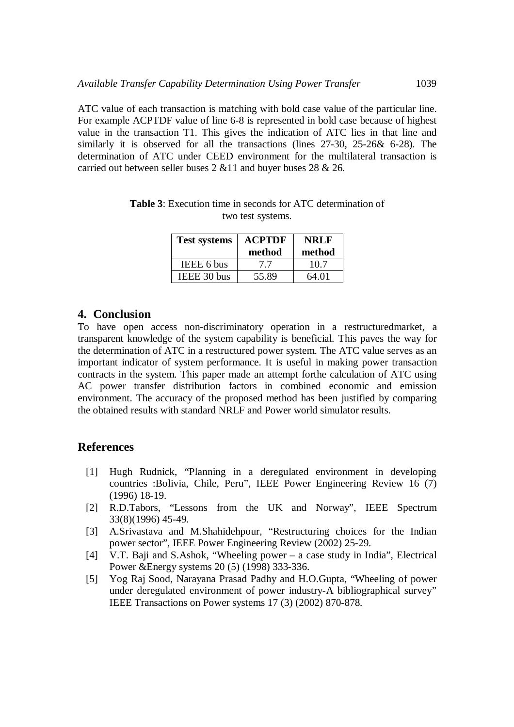ATC value of each transaction is matching with bold case value of the particular line. For example ACPTDF value of line 6-8 is represented in bold case because of highest value in the transaction T1. This gives the indication of ATC lies in that line and similarly it is observed for all the transactions (lines 27-30, 25-26& 6-28). The determination of ATC under CEED environment for the multilateral transaction is carried out between seller buses 2 &11 and buyer buses 28 & 26.

| <b>Test systems</b> | <b>ACPTDF</b><br>method | <b>NRLF</b><br>method |
|---------------------|-------------------------|-----------------------|
| <b>IEEE 6 bus</b>   | 77                      | 10.7                  |
| IEEE 30 bus         | 55.89                   | 64.01                 |

**Table 3**: Execution time in seconds for ATC determination of two test systems.

# **4. Conclusion**

To have open access non-discriminatory operation in a restructuredmarket, a transparent knowledge of the system capability is beneficial. This paves the way for the determination of ATC in a restructured power system. The ATC value serves as an important indicator of system performance. It is useful in making power transaction contracts in the system. This paper made an attempt forthe calculation of ATC using AC power transfer distribution factors in combined economic and emission environment. The accuracy of the proposed method has been justified by comparing the obtained results with standard NRLF and Power world simulator results.

# **References**

- [1] Hugh Rudnick, "Planning in a deregulated environment in developing countries :Bolivia, Chile, Peru", IEEE Power Engineering Review 16 (7) (1996) 18-19.
- [2] R.D.Tabors, "Lessons from the UK and Norway", IEEE Spectrum 33(8)(1996) 45-49.
- [3] A.Srivastava and M.Shahidehpour, "Restructuring choices for the Indian power sector", IEEE Power Engineering Review (2002) 25-29.
- [4] V.T. Baji and S.Ashok, "Wheeling power a case study in India", Electrical Power &Energy systems 20 (5) (1998) 333-336.
- [5] Yog Raj Sood, Narayana Prasad Padhy and H.O.Gupta, "Wheeling of power under deregulated environment of power industry-A bibliographical survey" IEEE Transactions on Power systems 17 (3) (2002) 870-878.